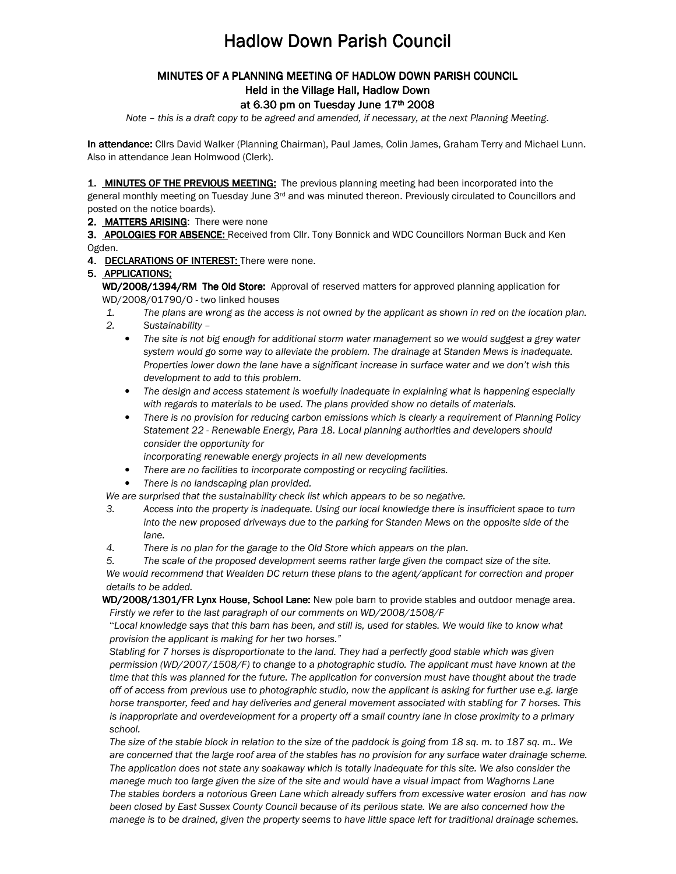# **Hadlow Down Parish Council**

## MINUTES OF A PLANNING MEETING OF HADLOW DOWN PARISH COUNCIL

### Held in the Village Hall, Hadlow Down

#### at 6.30 pm on Tuesday June  $17<sup>th</sup>$  2008

Note – this is a draft copy to be agreed and amended, if necessary, at the next Planning Meeting.

In attendance: Cllrs David Walker (Planning Chairman), Paul James, Colin James, Graham Terry and Michael Lunn. Also in attendance Jean Holmwood (Clerk).

1. MINUTES OF THE PREVIOUS MEETING: The previous planning meeting had been incorporated into the

general monthly meeting on Tuesday June 3<sup>rd</sup> and was minuted thereon. Previously circulated to Councillors and posted on the notice boards).

#### 2. MATTERS ARISING: There were none

3. APOLOGIES FOR ABSENCE: Received from Cllr. Tony Bonnick and WDC Councillors Norman Buck and Ken Ogden.

#### 4. DECLARATIONS OF INTEREST: There were none.

#### 5. APPLICATIONS;

WD/2008/1394/RM The Old Store: Approval of reserved matters for approved planning application for WD/2008/01790/O - two linked houses

- 1. The plans are wrong as the access is not owned by the applicant as shown in red on the location plan.
- 2. Sustainability
	- The site is not big enough for additional storm water management so we would suggest a grey water system would go some way to alleviate the problem. The drainage at Standen Mews is inadequate. Properties lower down the lane have a significant increase in surface water and we don't wish this development to add to this problem.
	- The design and access statement is woefully inadequate in explaining what is happening especially with regards to materials to be used. The plans provided show no details of materials.
	- There is no provision for reducing carbon emissions which is clearly a requirement of Planning Policy Statement 22 - Renewable Energy, Para 18. Local planning authorities and developers should consider the opportunity for
		- incorporating renewable energy projects in all new developments
		- There are no facilities to incorporate composting or recycling facilities.
	- There is no landscaping plan provided.

We are surprised that the sustainability check list which appears to be so negative.

- 3. Access into the property is inadequate. Using our local knowledge there is insufficient space to turn into the new proposed driveways due to the parking for Standen Mews on the opposite side of the lane.
- 4. There is no plan for the garage to the Old Store which appears on the plan.

5. The scale of the proposed development seems rather large given the compact size of the site. We would recommend that Wealden DC return these plans to the agent/applicant for correction and proper details to be added.

WD/2008/1301/FR Lynx House, School Lane: New pole barn to provide stables and outdoor menage area. Firstly we refer to the last paragraph of our comments on WD/2008/1508/F

"Local knowledge says that this barn has been, and still is, used for stables. We would like to know what provision the applicant is making for her two horses."

Stabling for 7 horses is disproportionate to the land. They had a perfectly good stable which was given permission (WD/2007/1508/F) to change to a photographic studio. The applicant must have known at the time that this was planned for the future. The application for conversion must have thought about the trade off of access from previous use to photographic studio, now the applicant is asking for further use e.g. large horse transporter, feed and hay deliveries and general movement associated with stabling for 7 horses. This is inappropriate and overdevelopment for a property off a small country lane in close proximity to a primary school.

The size of the stable block in relation to the size of the paddock is going from 18 sq. m. to 187 sq. m.. We are concerned that the large roof area of the stables has no provision for any surface water drainage scheme. The application does not state any soakaway which is totally inadequate for this site. We also consider the manege much too large given the size of the site and would have a visual impact from Waghorns Lane The stables borders a notorious Green Lane which already suffers from excessive water erosion and has now been closed by East Sussex County Council because of its perilous state. We are also concerned how the manege is to be drained, given the property seems to have little space left for traditional drainage schemes.